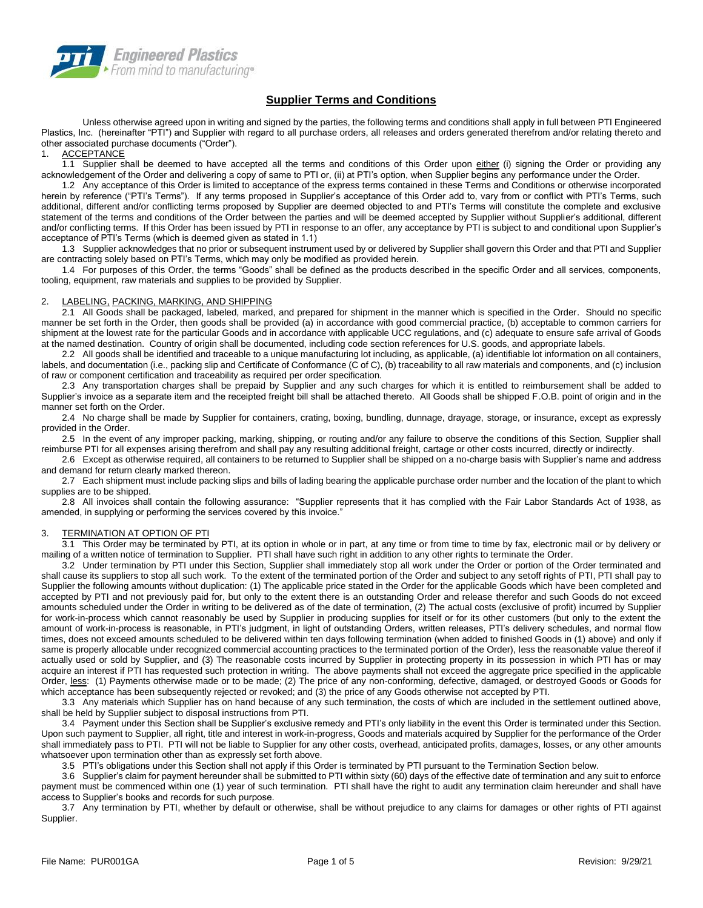

# **Supplier Terms and Conditions**

Unless otherwise agreed upon in writing and signed by the parties, the following terms and conditions shall apply in full between PTI Engineered Plastics, Inc. (hereinafter "PTI") and Supplier with regard to all purchase orders, all releases and orders generated therefrom and/or relating thereto and other associated purchase documents ("Order").

**ACCEPTANCE** 

1.1 Supplier shall be deemed to have accepted all the terms and conditions of this Order upon either (i) signing the Order or providing any acknowledgement of the Order and delivering a copy of same to PTI or, (ii) at PTI's option, when Supplier begins any performance under the Order.

1.2 Any acceptance of this Order is limited to acceptance of the express terms contained in these Terms and Conditions or otherwise incorporated herein by reference ("PTI's Terms"). If any terms proposed in Supplier's acceptance of this Order add to, vary from or conflict with PTI's Terms, such additional, different and/or conflicting terms proposed by Supplier are deemed objected to and PTI's Terms will constitute the complete and exclusive statement of the terms and conditions of the Order between the parties and will be deemed accepted by Supplier without Supplier's additional, different and/or conflicting terms. If this Order has been issued by PTI in response to an offer, any acceptance by PTI is subject to and conditional upon Supplier's acceptance of PTI's Terms (which is deemed given as stated in 1.1)

1.3 Supplier acknowledges that no prior or subsequent instrument used by or delivered by Supplier shall govern this Order and that PTI and Supplier are contracting solely based on PTI's Terms, which may only be modified as provided herein.

1.4 For purposes of this Order, the terms "Goods" shall be defined as the products described in the specific Order and all services, components, tooling, equipment, raw materials and supplies to be provided by Supplier.

## 2. LABELING, PACKING, MARKING, AND SHIPPING

2.1 All Goods shall be packaged, labeled, marked, and prepared for shipment in the manner which is specified in the Order. Should no specific manner be set forth in the Order, then goods shall be provided (a) in accordance with good commercial practice, (b) acceptable to common carriers for shipment at the lowest rate for the particular Goods and in accordance with applicable UCC regulations, and (c) adequate to ensure safe arrival of Goods at the named destination. Country of origin shall be documented, including code section references for U.S. goods, and appropriate labels.

2.2 All goods shall be identified and traceable to a unique manufacturing lot including, as applicable, (a) identifiable lot information on all containers, labels, and documentation (i.e., packing slip and Certificate of Conformance (C of C), (b) traceability to all raw materials and components, and (c) inclusion of raw or component certification and traceability as required per order specification.

2.3 Any transportation charges shall be prepaid by Supplier and any such charges for which it is entitled to reimbursement shall be added to Supplier's invoice as a separate item and the receipted freight bill shall be attached thereto. All Goods shall be shipped F.O.B. point of origin and in the manner set forth on the Order.

2.4 No charge shall be made by Supplier for containers, crating, boxing, bundling, dunnage, drayage, storage, or insurance, except as expressly provided in the Order.

2.5 In the event of any improper packing, marking, shipping, or routing and/or any failure to observe the conditions of this Section, Supplier shall reimburse PTI for all expenses arising therefrom and shall pay any resulting additional freight, cartage or other costs incurred, directly or indirectly.

2.6 Except as otherwise required, all containers to be returned to Supplier shall be shipped on a no-charge basis with Supplier's name and address and demand for return clearly marked thereon.

2.7 Each shipment must include packing slips and bills of lading bearing the applicable purchase order number and the location of the plant to which supplies are to be shipped.

2.8 All invoices shall contain the following assurance: "Supplier represents that it has complied with the Fair Labor Standards Act of 1938, as amended, in supplying or performing the services covered by this invoice."

## 3. TERMINATION AT OPTION OF PTI

3.1 This Order may be terminated by PTI, at its option in whole or in part, at any time or from time to time by fax, electronic mail or by delivery or mailing of a written notice of termination to Supplier. PTI shall have such right in addition to any other rights to terminate the Order.

3.2 Under termination by PTI under this Section, Supplier shall immediately stop all work under the Order or portion of the Order terminated and shall cause its suppliers to stop all such work. To the extent of the terminated portion of the Order and subject to any setoff rights of PTI, PTI shall pay to Supplier the following amounts without duplication: (1) The applicable price stated in the Order for the applicable Goods which have been completed and accepted by PTI and not previously paid for, but only to the extent there is an outstanding Order and release therefor and such Goods do not exceed amounts scheduled under the Order in writing to be delivered as of the date of termination, (2) The actual costs (exclusive of profit) incurred by Supplier for work-in-process which cannot reasonably be used by Supplier in producing supplies for itself or for its other customers (but only to the extent the amount of work-in-process is reasonable, in PTI's judgment, in light of outstanding Orders, written releases, PTI's delivery schedules, and normal flow times, does not exceed amounts scheduled to be delivered within ten days following termination (when added to finished Goods in (1) above) and only if same is properly allocable under recognized commercial accounting practices to the terminated portion of the Order), less the reasonable value thereof if actually used or sold by Supplier, and (3) The reasonable costs incurred by Supplier in protecting property in its possession in which PTI has or may acquire an interest if PTI has requested such protection in writing. The above payments shall not exceed the aggregate price specified in the applicable Order, less: (1) Payments otherwise made or to be made; (2) The price of any non-conforming, defective, damaged, or destroyed Goods or Goods for which acceptance has been subsequently rejected or revoked; and (3) the price of any Goods otherwise not accepted by PTI.

3.3 Any materials which Supplier has on hand because of any such termination, the costs of which are included in the settlement outlined above, shall be held by Supplier subject to disposal instructions from PTI.

3.4 Payment under this Section shall be Supplier's exclusive remedy and PTI's only liability in the event this Order is terminated under this Section. Upon such payment to Supplier, all right, title and interest in work-in-progress, Goods and materials acquired by Supplier for the performance of the Order shall immediately pass to PTI. PTI will not be liable to Supplier for any other costs, overhead, anticipated profits, damages, losses, or any other amounts whatsoever upon termination other than as expressly set forth above.

3.5 PTI's obligations under this Section shall not apply if this Order is terminated by PTI pursuant to the Termination Section below.

3.6 Supplier's claim for payment hereunder shall be submitted to PTI within sixty (60) days of the effective date of termination and any suit to enforce payment must be commenced within one (1) year of such termination. PTI shall have the right to audit any termination claim hereunder and shall have access to Supplier's books and records for such purpose.

3.7 Any termination by PTI, whether by default or otherwise, shall be without prejudice to any claims for damages or other rights of PTI against Supplier.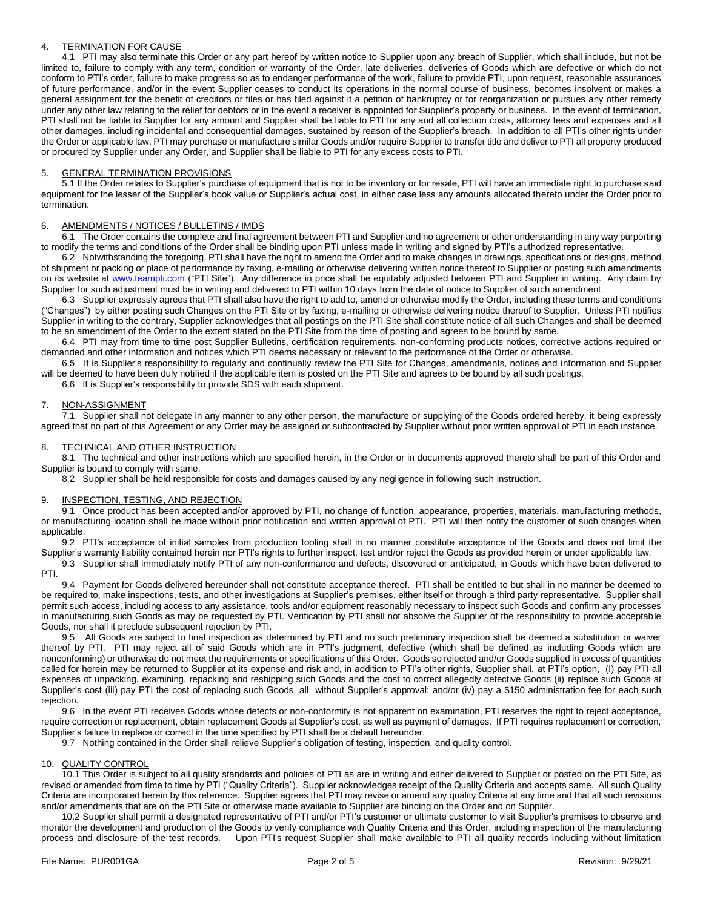## 4. TERMINATION FOR CAUSE

4.1 PTI may also terminate this Order or any part hereof by written notice to Supplier upon any breach of Supplier, which shall include, but not be limited to, failure to comply with any term, condition or warranty of the Order, late deliveries, deliveries of Goods which are defective or which do not conform to PTI's order, failure to make progress so as to endanger performance of the work, failure to provide PTI, upon request, reasonable assurances of future performance, and/or in the event Supplier ceases to conduct its operations in the normal course of business, becomes insolvent or makes a general assignment for the benefit of creditors or files or has filed against it a petition of bankruptcy or for reorganization or pursues any other remedy under any other law relating to the relief for debtors or in the event a receiver is appointed for Supplier's property or business. In the event of termination, PTI shall not be liable to Supplier for any amount and Supplier shall be liable to PTI for any and all collection costs, attorney fees and expenses and all other damages, including incidental and consequential damages, sustained by reason of the Supplier's breach. In addition to all PTI's other rights under the Order or applicable law, PTI may purchase or manufacture similar Goods and/or require Supplier to transfer title and deliver to PTI all property produced or procured by Supplier under any Order, and Supplier shall be liable to PTI for any excess costs to PTI.

## 5. GENERAL TERMINATION PROVISIONS

5.1 If the Order relates to Supplier's purchase of equipment that is not to be inventory or for resale, PTI will have an immediate right to purchase said equipment for the lesser of the Supplier's book value or Supplier's actual cost, in either case less any amounts allocated thereto under the Order prior to termination.

### 6. AMENDMENTS / NOTICES / BULLETINS / IMDS

6.1 The Order contains the complete and final agreement between PTI and Supplier and no agreement or other understanding in any way purporting to modify the terms and conditions of the Order shall be binding upon PTI unless made in writing and signed by PTI's authorized representative.

6.2 Notwithstanding the foregoing, PTI shall have the right to amend the Order and to make changes in drawings, specifications or designs, method of shipment or packing or place of performance by faxing, e-mailing or otherwise delivering written notice thereof to Supplier or posting such amendments on its website at [www.teampti.com](http://www.teampti.com/) ("PTI Site"). Any difference in price shall be equitably adjusted between PTI and Supplier in writing. Any claim by Supplier for such adjustment must be in writing and delivered to PTI within 10 days from the date of notice to Supplier of such amendment.

6.3 Supplier expressly agrees that PTI shall also have the right to add to, amend or otherwise modify the Order, including these terms and conditions ("Changes") by either posting such Changes on the PTI Site or by faxing, e-mailing or otherwise delivering notice thereof to Supplier. Unless PTI notifies Supplier in writing to the contrary, Supplier acknowledges that all postings on the PTI Site shall constitute notice of all such Changes and shall be deemed to be an amendment of the Order to the extent stated on the PTI Site from the time of posting and agrees to be bound by same.

6.4 PTI may from time to time post Supplier Bulletins, certification requirements, non-conforming products notices, corrective actions required or demanded and other information and notices which PTI deems necessary or relevant to the performance of the Order or otherwise.

6.5 It is Supplier's responsibility to regularly and continually review the PTI Site for Changes, amendments, notices and information and Supplier will be deemed to have been duly notified if the applicable item is posted on the PTI Site and agrees to be bound by all such postings.

6.6 It is Supplier's responsibility to provide SDS with each shipment.

### 7. NON-ASSIGNMENT

7.1 Supplier shall not delegate in any manner to any other person, the manufacture or supplying of the Goods ordered hereby, it being expressly agreed that no part of this Agreement or any Order may be assigned or subcontracted by Supplier without prior written approval of PTI in each instance.

## TECHNICAL AND OTHER INSTRUCTION

8.1 The technical and other instructions which are specified herein, in the Order or in documents approved thereto shall be part of this Order and Supplier is bound to comply with same.

8.2 Supplier shall be held responsible for costs and damages caused by any negligence in following such instruction.

#### 9. **INSPECTION, TESTING, AND REJECTION**

9.1 Once product has been accepted and/or approved by PTI, no change of function, appearance, properties, materials, manufacturing methods, or manufacturing location shall be made without prior notification and written approval of PTI. PTI will then notify the customer of such changes when applicable.

9.2 PTI's acceptance of initial samples from production tooling shall in no manner constitute acceptance of the Goods and does not limit the Supplier's warranty liability contained herein nor PTI's rights to further inspect, test and/or reject the Goods as provided herein or under applicable law.

9.3 Supplier shall immediately notify PTI of any non-conformance and defects, discovered or anticipated, in Goods which have been delivered to PTI.

9.4 Payment for Goods delivered hereunder shall not constitute acceptance thereof. PTI shall be entitled to but shall in no manner be deemed to be required to, make inspections, tests, and other investigations at Supplier's premises, either itself or through a third party representative. Supplier shall permit such access, including access to any assistance, tools and/or equipment reasonably necessary to inspect such Goods and confirm any processes in manufacturing such Goods as may be requested by PTI. Verification by PTI shall not absolve the Supplier of the responsibility to provide acceptable Goods, nor shall it preclude subsequent rejection by PTI.

9.5 All Goods are subject to final inspection as determined by PTI and no such preliminary inspection shall be deemed a substitution or waiver thereof by PTI. PTI may reject all of said Goods which are in PTI's judgment, defective (which shall be defined as including Goods which are nonconforming) or otherwise do not meet the requirements or specifications of this Order. Goods so rejected and/or Goods supplied in excess of quantities called for herein may be returned to Supplier at its expense and risk and, in addition to PTI's other rights, Supplier shall, at PTI's option, (I) pay PTI all expenses of unpacking, examining, repacking and reshipping such Goods and the cost to correct allegedly defective Goods (ii) replace such Goods at Supplier's cost (iii) pay PTI the cost of replacing such Goods, all without Supplier's approval; and/or (iv) pay a \$150 administration fee for each such rejection.

9.6 In the event PTI receives Goods whose defects or non-conformity is not apparent on examination, PTI reserves the right to reject acceptance, require correction or replacement, obtain replacement Goods at Supplier's cost, as well as payment of damages. If PTI requires replacement or correction, Supplier's failure to replace or correct in the time specified by PTI shall be a default hereunder.

9.7 Nothing contained in the Order shall relieve Supplier's obligation of testing, inspection, and quality control.

## 10. QUALITY CONTROL

10.1 This Order is subject to all quality standards and policies of PTI as are in writing and either delivered to Supplier or posted on the PTI Site, as revised or amended from time to time by PTI ("Quality Criteria"). Supplier acknowledges receipt of the Quality Criteria and accepts same. All such Quality Criteria are incorporated herein by this reference. Supplier agrees that PTI may revise or amend any quality Criteria at any time and that all such revisions and/or amendments that are on the PTI Site or otherwise made available to Supplier are binding on the Order and on Supplier.

10.2 Supplier shall permit a designated representative of PTI and/or PTI's customer or ultimate customer to visit Supplier's premises to observe and monitor the development and production of the Goods to verify compliance with Quality Criteria and this Order, including inspection of the manufacturing process and disclosure of the test records. Upon PTI's request Supplier shall make available to PTI all quality records including without limitation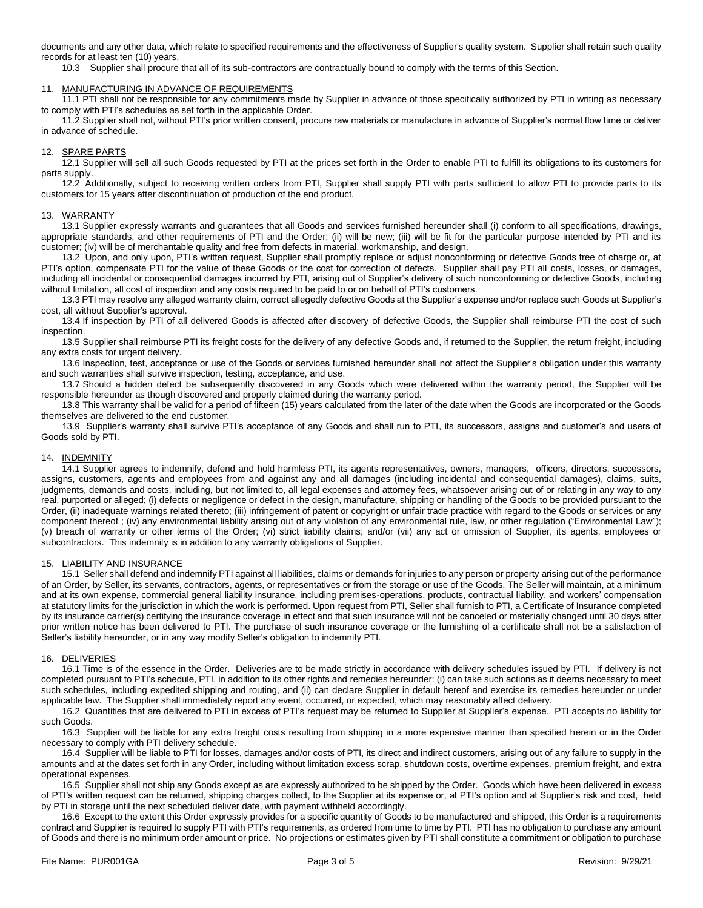documents and any other data, which relate to specified requirements and the effectiveness of Supplier's quality system. Supplier shall retain such quality records for at least ten (10) years.

10.3 Supplier shall procure that all of its sub-contractors are contractually bound to comply with the terms of this Section.

#### 11. MANUFACTURING IN ADVANCE OF REQUIREMENTS

11.1 PTI shall not be responsible for any commitments made by Supplier in advance of those specifically authorized by PTI in writing as necessary to comply with PTI's schedules as set forth in the applicable Order.

11.2 Supplier shall not, without PTI's prior written consent, procure raw materials or manufacture in advance of Supplier's normal flow time or deliver in advance of schedule.

## 12. SPARE PARTS

12.1 Supplier will sell all such Goods requested by PTI at the prices set forth in the Order to enable PTI to fulfill its obligations to its customers for parts supply.

12.2 Additionally, subject to receiving written orders from PTI, Supplier shall supply PTI with parts sufficient to allow PTI to provide parts to its customers for 15 years after discontinuation of production of the end product.

#### 13. WARRANTY

13.1 Supplier expressly warrants and guarantees that all Goods and services furnished hereunder shall (i) conform to all specifications, drawings, appropriate standards, and other requirements of PTI and the Order; (ii) will be new; (iii) will be fit for the particular purpose intended by PTI and its customer; (iv) will be of merchantable quality and free from defects in material, workmanship, and design.

13.2 Upon, and only upon, PTI's written request, Supplier shall promptly replace or adjust nonconforming or defective Goods free of charge or, at PTI's option, compensate PTI for the value of these Goods or the cost for correction of defects. Supplier shall pay PTI all costs, losses, or damages, including all incidental or consequential damages incurred by PTI, arising out of Supplier's delivery of such nonconforming or defective Goods, including without limitation, all cost of inspection and any costs required to be paid to or on behalf of PTI's customers.

13.3 PTI may resolve any alleged warranty claim, correct allegedly defective Goods at the Supplier's expense and/or replace such Goods at Supplier's cost, all without Supplier's approval.

13.4 If inspection by PTI of all delivered Goods is affected after discovery of defective Goods, the Supplier shall reimburse PTI the cost of such inspection.

13.5 Supplier shall reimburse PTI its freight costs for the delivery of any defective Goods and, if returned to the Supplier, the return freight, including any extra costs for urgent delivery.

13.6 Inspection, test, acceptance or use of the Goods or services furnished hereunder shall not affect the Supplier's obligation under this warranty and such warranties shall survive inspection, testing, acceptance, and use.

13.7 Should a hidden defect be subsequently discovered in any Goods which were delivered within the warranty period, the Supplier will be responsible hereunder as though discovered and properly claimed during the warranty period.

13.8 This warranty shall be valid for a period of fifteen (15) years calculated from the later of the date when the Goods are incorporated or the Goods themselves are delivered to the end customer.

13.9 Supplier's warranty shall survive PTI's acceptance of any Goods and shall run to PTI, its successors, assigns and customer's and users of Goods sold by PTI.

#### 14. INDEMNITY

14.1 Supplier agrees to indemnify, defend and hold harmless PTI, its agents representatives, owners, managers, officers, directors, successors, assigns, customers, agents and employees from and against any and all damages (including incidental and consequential damages), claims, suits, judgments, demands and costs, including, but not limited to, all legal expenses and attorney fees, whatsoever arising out of or relating in any way to any real, purported or alleged; (i) defects or negligence or defect in the design, manufacture, shipping or handling of the Goods to be provided pursuant to the Order, (ii) inadequate warnings related thereto; (iii) infringement of patent or copyright or unfair trade practice with regard to the Goods or services or any component thereof ; (iv) any environmental liability arising out of any violation of any environmental rule, law, or other regulation ("Environmental Law"); (v) breach of warranty or other terms of the Order; (vi) strict liability claims; and/or (vii) any act or omission of Supplier, its agents, employees or subcontractors. This indemnity is in addition to any warranty obligations of Supplier.

#### 15. LIABILITY AND INSURANCE

15.1 Seller shall defend and indemnify PTI against all liabilities, claims or demands for injuries to any person or property arising out of the performance of an Order, by Seller, its servants, contractors, agents, or representatives or from the storage or use of the Goods. The Seller will maintain, at a minimum and at its own expense, commercial general liability insurance, including premises-operations, products, contractual liability, and workers' compensation at statutory limits for the jurisdiction in which the work is performed. Upon request from PTI, Seller shall furnish to PTI, a Certificate of Insurance completed by its insurance carrier(s) certifying the insurance coverage in effect and that such insurance will not be canceled or materially changed until 30 days after prior written notice has been delivered to PTI. The purchase of such insurance coverage or the furnishing of a certificate shall not be a satisfaction of Seller's liability hereunder, or in any way modify Seller's obligation to indemnify PTI.

#### 16. DELIVERIES

16.1 Time is of the essence in the Order. Deliveries are to be made strictly in accordance with delivery schedules issued by PTI. If delivery is not completed pursuant to PTI's schedule, PTI, in addition to its other rights and remedies hereunder: (i) can take such actions as it deems necessary to meet such schedules, including expedited shipping and routing, and (ii) can declare Supplier in default hereof and exercise its remedies hereunder or under applicable law. The Supplier shall immediately report any event, occurred, or expected, which may reasonably affect delivery.

16.2 Quantities that are delivered to PTI in excess of PTI's request may be returned to Supplier at Supplier's expense. PTI accepts no liability for such Goods.

16.3 Supplier will be liable for any extra freight costs resulting from shipping in a more expensive manner than specified herein or in the Order necessary to comply with PTI delivery schedule.

16.4 Supplier will be liable to PTI for losses, damages and/or costs of PTI, its direct and indirect customers, arising out of any failure to supply in the amounts and at the dates set forth in any Order, including without limitation excess scrap, shutdown costs, overtime expenses, premium freight, and extra operational expenses.

16.5 Supplier shall not ship any Goods except as are expressly authorized to be shipped by the Order. Goods which have been delivered in excess of PTI's written request can be returned, shipping charges collect, to the Supplier at its expense or, at PTI's option and at Supplier's risk and cost, held by PTI in storage until the next scheduled deliver date, with payment withheld accordingly.

16.6 Except to the extent this Order expressly provides for a specific quantity of Goods to be manufactured and shipped, this Order is a requirements contract and Supplier is required to supply PTI with PTI's requirements, as ordered from time to time by PTI. PTI has no obligation to purchase any amount of Goods and there is no minimum order amount or price. No projections or estimates given by PTI shall constitute a commitment or obligation to purchase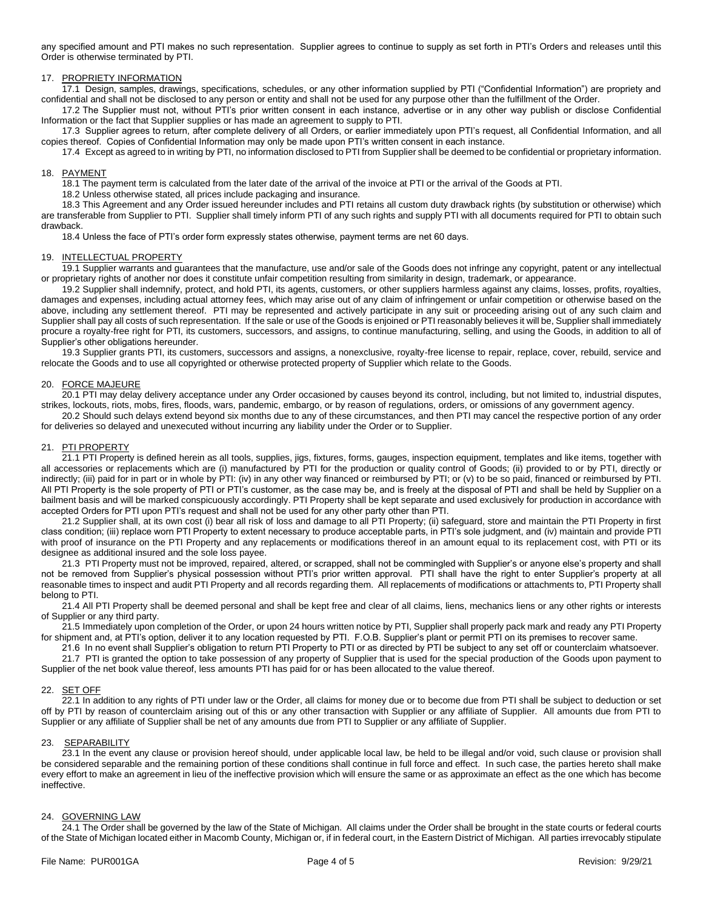any specified amount and PTI makes no such representation. Supplier agrees to continue to supply as set forth in PTI's Orders and releases until this Order is otherwise terminated by PTI.

## 17. PROPRIETY INFORMATION

17.1 Design, samples, drawings, specifications, schedules, or any other information supplied by PTI ("Confidential Information") are propriety and confidential and shall not be disclosed to any person or entity and shall not be used for any purpose other than the fulfillment of the Order.

17.2 The Supplier must not, without PTI's prior written consent in each instance, advertise or in any other way publish or disclose Confidential Information or the fact that Supplier supplies or has made an agreement to supply to PTI.

17.3 Supplier agrees to return, after complete delivery of all Orders, or earlier immediately upon PTI's request, all Confidential Information, and all copies thereof. Copies of Confidential Information may only be made upon PTI's written consent in each instance.

17.4 Except as agreed to in writing by PTI, no information disclosed to PTI from Supplier shall be deemed to be confidential or proprietary information.

### 18. PAYMENT

18.1 The payment term is calculated from the later date of the arrival of the invoice at PTI or the arrival of the Goods at PTI.

18.2 Unless otherwise stated, all prices include packaging and insurance.

18.3 This Agreement and any Order issued hereunder includes and PTI retains all custom duty drawback rights (by substitution or otherwise) which are transferable from Supplier to PTI. Supplier shall timely inform PTI of any such rights and supply PTI with all documents required for PTI to obtain such drawback.

18.4 Unless the face of PTI's order form expressly states otherwise, payment terms are net 60 days.

### 19. INTELLECTUAL PROPERTY

19.1 Supplier warrants and guarantees that the manufacture, use and/or sale of the Goods does not infringe any copyright, patent or any intellectual or proprietary rights of another nor does it constitute unfair competition resulting from similarity in design, trademark, or appearance.

19.2 Supplier shall indemnify, protect, and hold PTI, its agents, customers, or other suppliers harmless against any claims, losses, profits, royalties, damages and expenses, including actual attorney fees, which may arise out of any claim of infringement or unfair competition or otherwise based on the above, including any settlement thereof. PTI may be represented and actively participate in any suit or proceeding arising out of any such claim and Supplier shall pay all costs of such representation. If the sale or use of the Goods is enjoined or PTI reasonably believes it will be, Supplier shall immediately procure a royalty-free right for PTI, its customers, successors, and assigns, to continue manufacturing, selling, and using the Goods, in addition to all of Supplier's other obligations hereunder.

19.3 Supplier grants PTI, its customers, successors and assigns, a nonexclusive, royalty-free license to repair, replace, cover, rebuild, service and relocate the Goods and to use all copyrighted or otherwise protected property of Supplier which relate to the Goods.

### 20. FORCE MAJEURE

20.1 PTI may delay delivery acceptance under any Order occasioned by causes beyond its control, including, but not limited to, industrial disputes, strikes, lockouts, riots, mobs, fires, floods, wars, pandemic, embargo, or by reason of regulations, orders, or omissions of any government agency.

20.2 Should such delays extend beyond six months due to any of these circumstances, and then PTI may cancel the respective portion of any order for deliveries so delayed and unexecuted without incurring any liability under the Order or to Supplier.

## 21. PTI PROPERTY

21.1 PTI Property is defined herein as all tools, supplies, jigs, fixtures, forms, gauges, inspection equipment, templates and like items, together with all accessories or replacements which are (i) manufactured by PTI for the production or quality control of Goods; (ii) provided to or by PTI, directly or indirectly; (iii) paid for in part or in whole by PTI: (iv) in any other way financed or reimbursed by PTI; or (v) to be so paid, financed or reimbursed by PTI. All PTI Property is the sole property of PTI or PTI's customer, as the case may be, and is freely at the disposal of PTI and shall be held by Supplier on a bailment basis and will be marked conspicuously accordingly. PTI Property shall be kept separate and used exclusively for production in accordance with accepted Orders for PTI upon PTI's request and shall not be used for any other party other than PTI.

21.2 Supplier shall, at its own cost (i) bear all risk of loss and damage to all PTI Property; (ii) safeguard, store and maintain the PTI Property in first class condition; (iii) replace worn PTI Property to extent necessary to produce acceptable parts, in PTI's sole judgment, and (iv) maintain and provide PTI with proof of insurance on the PTI Property and any replacements or modifications thereof in an amount equal to its replacement cost, with PTI or its designee as additional insured and the sole loss payee.

21.3 PTI Property must not be improved, repaired, altered, or scrapped, shall not be commingled with Supplier's or anyone else's property and shall not be removed from Supplier's physical possession without PTI's prior written approval. PTI shall have the right to enter Supplier's property at all reasonable times to inspect and audit PTI Property and all records regarding them. All replacements of modifications or attachments to, PTI Property shall belong to PTI.

21.4 All PTI Property shall be deemed personal and shall be kept free and clear of all claims, liens, mechanics liens or any other rights or interests of Supplier or any third party.

21.5 Immediately upon completion of the Order, or upon 24 hours written notice by PTI, Supplier shall properly pack mark and ready any PTI Property for shipment and, at PTI's option, deliver it to any location requested by PTI. F.O.B. Supplier's plant or permit PTI on its premises to recover same.

21.6 In no event shall Supplier's obligation to return PTI Property to PTI or as directed by PTI be subject to any set off or counterclaim whatsoever.

21.7 PTI is granted the option to take possession of any property of Supplier that is used for the special production of the Goods upon payment to Supplier of the net book value thereof, less amounts PTI has paid for or has been allocated to the value thereof.

#### 22. SET OFF

22.1 In addition to any rights of PTI under law or the Order, all claims for money due or to become due from PTI shall be subject to deduction or set off by PTI by reason of counterclaim arising out of this or any other transaction with Supplier or any affiliate of Supplier. All amounts due from PTI to Supplier or any affiliate of Supplier shall be net of any amounts due from PTI to Supplier or any affiliate of Supplier.

## 23. **SEPARABILITY**

23.1 In the event any clause or provision hereof should, under applicable local law, be held to be illegal and/or void, such clause or provision shall be considered separable and the remaining portion of these conditions shall continue in full force and effect. In such case, the parties hereto shall make every effort to make an agreement in lieu of the ineffective provision which will ensure the same or as approximate an effect as the one which has become ineffective.

#### 24. GOVERNING LAW

24.1 The Order shall be governed by the law of the State of Michigan. All claims under the Order shall be brought in the state courts or federal courts of the State of Michigan located either in Macomb County, Michigan or, if in federal court, in the Eastern District of Michigan. All parties irrevocably stipulate